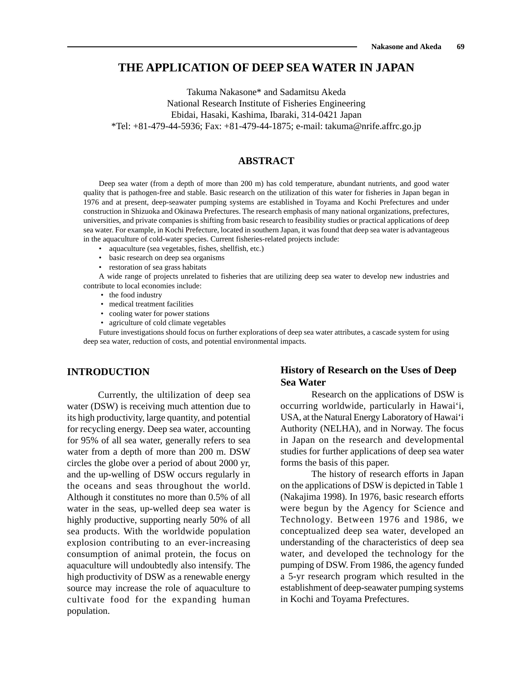# **THE APPLICATION OF DEEP SEA WATER IN JAPAN**

Takuma Nakasone\* and Sadamitsu Akeda National Research Institute of Fisheries Engineering Ebidai, Hasaki, Kashima, Ibaraki, 314-0421 Japan \*Tel: +81-479-44-5936; Fax: +81-479-44-1875; e-mail: takuma@nrife.affrc.go.jp

## **ABSTRACT**

Deep sea water (from a depth of more than 200 m) has cold temperature, abundant nutrients, and good water quality that is pathogen-free and stable. Basic research on the utilization of this water for fisheries in Japan began in 1976 and at present, deep-seawater pumping systems are established in Toyama and Kochi Prefectures and under construction in Shizuoka and Okinawa Prefectures. The research emphasis of many national organizations, prefectures, universities, and private companies is shifting from basic research to feasibility studies or practical applications of deep sea water. For example, in Kochi Prefecture, located in southern Japan, it was found that deep sea water is advantageous in the aquaculture of cold-water species. Current fisheries-related projects include:

- aquaculture (sea vegetables, fishes, shellfish, etc.)
- basic research on deep sea organisms
- restoration of sea grass habitats

A wide range of projects unrelated to fisheries that are utilizing deep sea water to develop new industries and contribute to local economies include:

- the food industry
- medical treatment facilities
- cooling water for power stations
- agriculture of cold climate vegetables

Future investigations should focus on further explorations of deep sea water attributes, a cascade system for using deep sea water, reduction of costs, and potential environmental impacts.

## **INTRODUCTION**

Currently, the ultilization of deep sea water (DSW) is receiving much attention due to its high productivity, large quantity, and potential for recycling energy. Deep sea water, accounting for 95% of all sea water, generally refers to sea water from a depth of more than 200 m. DSW circles the globe over a period of about 2000 yr, and the up-welling of DSW occurs regularly in the oceans and seas throughout the world. Although it constitutes no more than 0.5% of all water in the seas, up-welled deep sea water is highly productive, supporting nearly 50% of all sea products. With the worldwide population explosion contributing to an ever-increasing consumption of animal protein, the focus on aquaculture will undoubtedly also intensify. The high productivity of DSW as a renewable energy source may increase the role of aquaculture to cultivate food for the expanding human population.

## **History of Research on the Uses of Deep Sea Water**

Research on the applications of DSW is occurring worldwide, particularly in Hawai'i, USA, at the Natural Energy Laboratory of Hawai'i Authority (NELHA), and in Norway. The focus in Japan on the research and developmental studies for further applications of deep sea water forms the basis of this paper.

The history of research efforts in Japan on the applications of DSW is depicted in Table 1 (Nakajima 1998). In 1976, basic research efforts were begun by the Agency for Science and Technology. Between 1976 and 1986, we conceptualized deep sea water, developed an understanding of the characteristics of deep sea water, and developed the technology for the pumping of DSW. From 1986, the agency funded a 5-yr research program which resulted in the establishment of deep-seawater pumping systems in Kochi and Toyama Prefectures.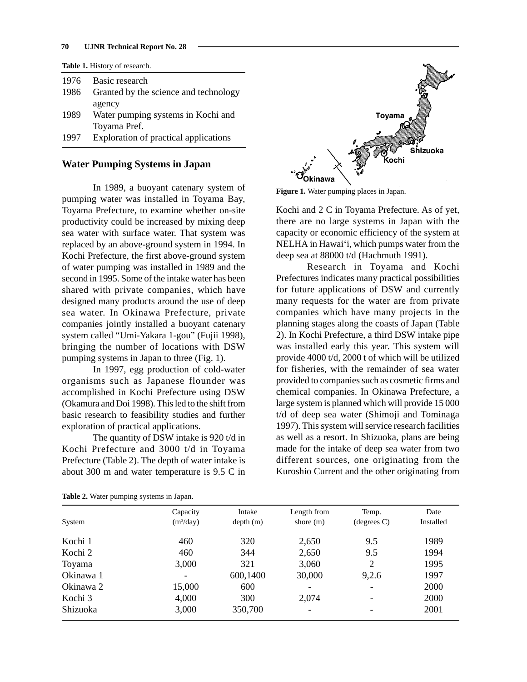#### **70 UJNR Technical Report No. 28**

**Table 1.** History of research.

| 1976 | Basic research                        |
|------|---------------------------------------|
| 1986 | Granted by the science and technology |
|      | agency                                |
| 1989 | Water pumping systems in Kochi and    |
|      | Toyama Pref.                          |
| 1997 | Exploration of practical applications |
|      |                                       |

#### **Water Pumping Systems in Japan**

In 1989, a buoyant catenary system of pumping water was installed in Toyama Bay, Toyama Prefecture, to examine whether on-site productivity could be increased by mixing deep sea water with surface water. That system was replaced by an above-ground system in 1994. In Kochi Prefecture, the first above-ground system of water pumping was installed in 1989 and the second in 1995. Some of the intake water has been shared with private companies, which have designed many products around the use of deep sea water. In Okinawa Prefecture, private companies jointly installed a buoyant catenary system called "Umi-Yakara 1-gou" (Fujii 1998), bringing the number of locations with DSW pumping systems in Japan to three (Fig. 1).

In 1997, egg production of cold-water organisms such as Japanese flounder was accomplished in Kochi Prefecture using DSW (Okamura and Doi 1998). This led to the shift from basic research to feasibility studies and further exploration of practical applications.

The quantity of DSW intake is 920 t/d in Kochi Prefecture and 3000 t/d in Toyama Prefecture (Table 2). The depth of water intake is about 300 m and water temperature is 9.5 C in



**Figure 1.** Water pumping places in Japan.

Kochi and 2 C in Toyama Prefecture. As of yet, there are no large systems in Japan with the capacity or economic efficiency of the system at NELHA in Hawai'i, which pumps water from the deep sea at 88000 t/d (Hachmuth 1991).

Research in Toyama and Kochi Prefectures indicates many practical possibilities for future applications of DSW and currently many requests for the water are from private companies which have many projects in the planning stages along the coasts of Japan (Table 2). In Kochi Prefecture, a third DSW intake pipe was installed early this year. This system will provide 4000 t/d, 2000 t of which will be utilized for fisheries, with the remainder of sea water provided to companies such as cosmetic firms and chemical companies. In Okinawa Prefecture, a large system is planned which will provide 15 000 t/d of deep sea water (Shimoji and Tominaga 1997). This system will service research facilities as well as a resort. In Shizuoka, plans are being made for the intake of deep sea water from two different sources, one originating from the Kuroshio Current and the other originating from

|           | Capacity    | Intake   | Length from | Temp.                 | Date      |
|-----------|-------------|----------|-------------|-----------------------|-----------|
| System    | $(m^3/day)$ | depth(m) | shore $(m)$ | $(\text{degrees } C)$ | Installed |
| Kochi 1   | 460         | 320      | 2,650       | 9.5                   | 1989      |
| Kochi 2   | 460         | 344      | 2,650       | 9.5                   | 1994      |
| Toyama    | 3,000       | 321      | 3,060       | 2                     | 1995      |
| Okinawa 1 |             | 600,1400 | 30,000      | 9,2.6                 | 1997      |
| Okinawa 2 | 15,000      | 600      |             |                       | 2000      |
| Kochi 3   | 4,000       | 300      | 2,074       |                       | 2000      |
| Shizuoka  | 3,000       | 350,700  |             |                       | 2001      |

**Table 2.** Water pumping systems in Japan.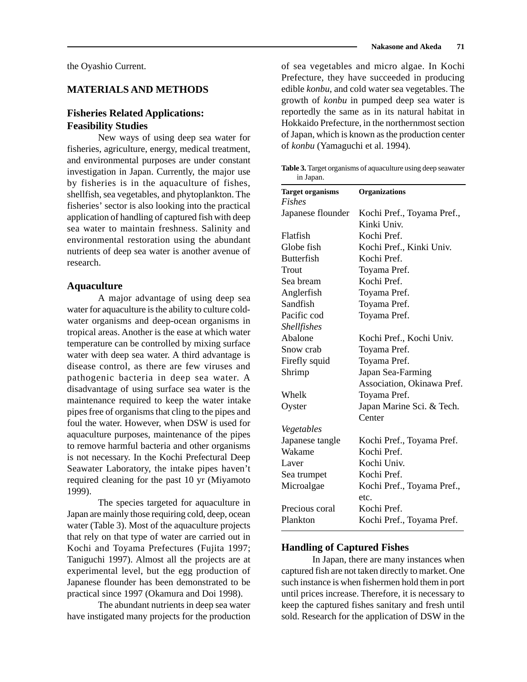### **MATERIALS AND METHODS**

## **Fisheries Related Applications: Feasibility Studies**

New ways of using deep sea water for fisheries, agriculture, energy, medical treatment, and environmental purposes are under constant investigation in Japan. Currently, the major use by fisheries is in the aquaculture of fishes, shellfish, sea vegetables, and phytoplankton. The fisheries' sector is also looking into the practical application of handling of captured fish with deep sea water to maintain freshness. Salinity and environmental restoration using the abundant nutrients of deep sea water is another avenue of research.

#### **Aquaculture**

A major advantage of using deep sea water for aquaculture is the ability to culture coldwater organisms and deep-ocean organisms in tropical areas. Another is the ease at which water temperature can be controlled by mixing surface water with deep sea water. A third advantage is disease control, as there are few viruses and pathogenic bacteria in deep sea water. A disadvantage of using surface sea water is the maintenance required to keep the water intake pipes free of organisms that cling to the pipes and foul the water. However, when DSW is used for aquaculture purposes, maintenance of the pipes to remove harmful bacteria and other organisms is not necessary. In the Kochi Prefectural Deep Seawater Laboratory, the intake pipes haven't required cleaning for the past 10 yr (Miyamoto 1999).

The species targeted for aquaculture in Japan are mainly those requiring cold, deep, ocean water (Table 3). Most of the aquaculture projects that rely on that type of water are carried out in Kochi and Toyama Prefectures (Fujita 1997; Taniguchi 1997). Almost all the projects are at experimental level, but the egg production of Japanese flounder has been demonstrated to be practical since 1997 (Okamura and Doi 1998).

The abundant nutrients in deep sea water have instigated many projects for the production of sea vegetables and micro algae. In Kochi Prefecture, they have succeeded in producing edible *konbu*, and cold water sea vegetables. The growth of *konbu* in pumped deep sea water is reportedly the same as in its natural habitat in Hokkaido Prefecture, in the northernmost section of Japan, which is known as the production center of *konbu* (Yamaguchi et al. 1994).

**Table 3.** Target organisms of aquaculture using deep seawater in Japan.

| <b>Target organisms</b> | <b>Organizations</b>       |
|-------------------------|----------------------------|
| <b>Fishes</b>           |                            |
| Japanese flounder       | Kochi Pref., Toyama Pref., |
|                         | Kinki Univ.                |
| Flatfish                | Kochi Pref.                |
| Globe fish              | Kochi Pref., Kinki Univ.   |
| <b>Butterfish</b>       | Kochi Pref.                |
| Trout                   | Toyama Pref.               |
| Sea bream               | Kochi Pref.                |
| Anglerfish              | Toyama Pref.               |
| Sandfish                | Toyama Pref.               |
| Pacific cod             | Toyama Pref.               |
| <b>Shellfishes</b>      |                            |
| Abalone                 | Kochi Pref., Kochi Univ.   |
| Snow crab               | Toyama Pref.               |
| Firefly squid           | Toyama Pref.               |
| Shrimp                  | Japan Sea-Farming          |
|                         | Association, Okinawa Pref. |
| Whelk                   | Toyama Pref.               |
| Oyster                  | Japan Marine Sci. & Tech.  |
|                         | Center                     |
| Vegetables              |                            |
| Japanese tangle         | Kochi Pref., Toyama Pref.  |
| Wakame                  | Kochi Pref.                |
| Laver                   | Kochi Univ.                |
| Sea trumpet             | Kochi Pref.                |
| Microalgae              | Kochi Pref., Toyama Pref., |
|                         | etc.                       |
| Precious coral          | Kochi Pref.                |
| Plankton                | Kochi Pref., Toyama Pref.  |

### **Handling of Captured Fishes**

In Japan, there are many instances when captured fish are not taken directly to market. One such instance is when fishermen hold them in port until prices increase. Therefore, it is necessary to keep the captured fishes sanitary and fresh until sold. Research for the application of DSW in the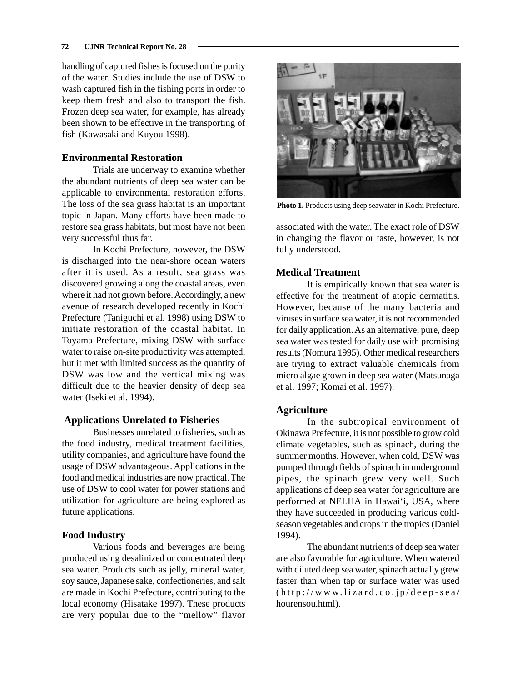handling of captured fishes is focused on the purity of the water. Studies include the use of DSW to wash captured fish in the fishing ports in order to keep them fresh and also to transport the fish. Frozen deep sea water, for example, has already been shown to be effective in the transporting of fish (Kawasaki and Kuyou 1998).

## **Environmental Restoration**

Trials are underway to examine whether the abundant nutrients of deep sea water can be applicable to environmental restoration efforts. The loss of the sea grass habitat is an important topic in Japan. Many efforts have been made to restore sea grass habitats, but most have not been very successful thus far.

In Kochi Prefecture, however, the DSW is discharged into the near-shore ocean waters after it is used. As a result, sea grass was discovered growing along the coastal areas, even where it had not grown before. Accordingly, a new avenue of research developed recently in Kochi Prefecture (Taniguchi et al. 1998) using DSW to initiate restoration of the coastal habitat. In Toyama Prefecture, mixing DSW with surface water to raise on-site productivity was attempted, but it met with limited success as the quantity of DSW was low and the vertical mixing was difficult due to the heavier density of deep sea water (Iseki et al. 1994).

## **Applications Unrelated to Fisheries**

Businesses unrelated to fisheries, such as the food industry, medical treatment facilities, utility companies, and agriculture have found the usage of DSW advantageous. Applications in the food and medical industries are now practical. The use of DSW to cool water for power stations and utilization for agriculture are being explored as future applications.

## **Food Industry**

Various foods and beverages are being produced using desalinized or concentrated deep sea water. Products such as jelly, mineral water, soy sauce, Japanese sake, confectioneries, and salt are made in Kochi Prefecture, contributing to the local economy (Hisatake 1997). These products are very popular due to the "mellow" flavor



**Photo 1.** Products using deep seawater in Kochi Prefecture.

associated with the water. The exact role of DSW in changing the flavor or taste, however, is not fully understood.

## **Medical Treatment**

It is empirically known that sea water is effective for the treatment of atopic dermatitis. However, because of the many bacteria and viruses in surface sea water, it is not recommended for daily application. As an alternative, pure, deep sea water was tested for daily use with promising results (Nomura 1995). Other medical researchers are trying to extract valuable chemicals from micro algae grown in deep sea water (Matsunaga et al. 1997; Komai et al. 1997).

# **Agriculture**

In the subtropical environment of Okinawa Prefecture, it is not possible to grow cold climate vegetables, such as spinach, during the summer months. However, when cold, DSW was pumped through fields of spinach in underground pipes, the spinach grew very well. Such applications of deep sea water for agriculture are performed at NELHA in Hawai'i, USA, where they have succeeded in producing various coldseason vegetables and crops in the tropics (Daniel 1994).

The abundant nutrients of deep sea water are also favorable for agriculture. When watered with diluted deep sea water, spinach actually grew faster than when tap or surface water was used (http://www.lizard.co.jp/deep-sea/ hourensou.html).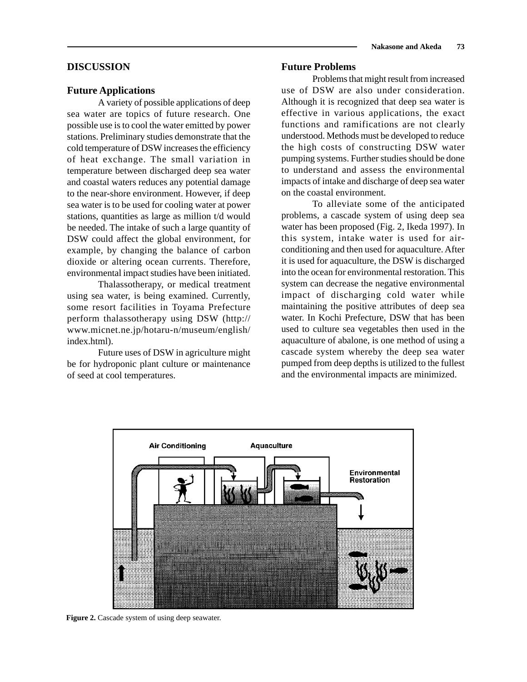#### **DISCUSSION**

#### **Future Applications**

A variety of possible applications of deep sea water are topics of future research. One possible use is to cool the water emitted by power stations. Preliminary studies demonstrate that the cold temperature of DSW increases the efficiency of heat exchange. The small variation in temperature between discharged deep sea water and coastal waters reduces any potential damage to the near-shore environment. However, if deep sea water is to be used for cooling water at power stations, quantities as large as million t/d would be needed. The intake of such a large quantity of DSW could affect the global environment, for example, by changing the balance of carbon dioxide or altering ocean currents. Therefore, environmental impact studies have been initiated.

Thalassotherapy, or medical treatment using sea water, is being examined. Currently, some resort facilities in Toyama Prefecture perform thalassotherapy using DSW (http:// www.micnet.ne.jp/hotaru-n/museum/english/ index.html).

Future uses of DSW in agriculture might be for hydroponic plant culture or maintenance of seed at cool temperatures.

# **Nakasone and Akeda 73**

#### **Future Problems**

Problems that might result from increased use of DSW are also under consideration. Although it is recognized that deep sea water is effective in various applications, the exact functions and ramifications are not clearly understood. Methods must be developed to reduce the high costs of constructing DSW water pumping systems. Further studies should be done to understand and assess the environmental impacts of intake and discharge of deep sea water on the coastal environment.

To alleviate some of the anticipated problems, a cascade system of using deep sea water has been proposed (Fig. 2, Ikeda 1997). In this system, intake water is used for airconditioning and then used for aquaculture. After it is used for aquaculture, the DSW is discharged into the ocean for environmental restoration. This system can decrease the negative environmental impact of discharging cold water while maintaining the positive attributes of deep sea water. In Kochi Prefecture, DSW that has been used to culture sea vegetables then used in the aquaculture of abalone, is one method of using a cascade system whereby the deep sea water pumped from deep depths is utilized to the fullest and the environmental impacts are minimized.



Figure 2. Cascade system of using deep seawater.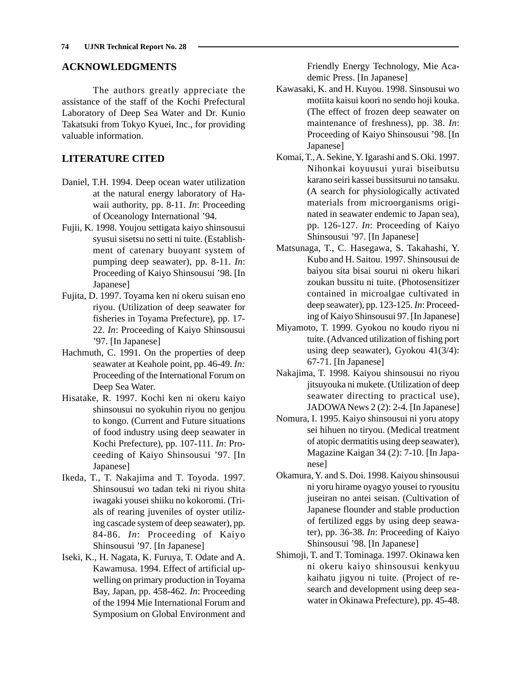### **ACKNOWLEDGMENTS**

The authors greatly appreciate the assistance of the staff of the Kochi Prefectural Laboratory of Deep Sea Water and Dr. Kunio Takatsuki from Tokyo Kyuei, Inc., for providing valuable information.

## **LITERATURE CITED**

- Daniel, T.H. 1994. Deep ocean water utilization at the natural energy laboratory of Hawaii authority, pp. 8-11. *In*: Proceeding of Oceanology International '94.
- Fujii, K. 1998. Youjou settigata kaiyo shinsousui syusui sisetsu no setti ni tuite. (Establishment of catenary buoyant system of pumping deep seawater), pp. 8-11. *In*: Proceeding of Kaiyo Shinsousui '98. [In Japanese]
- Fujita, D. 1997. Toyama ken ni okeru suisan eno riyou. (Utilization of deep seawater for fisheries in Toyama Prefecture), pp. 17- 22. *In*: Proceeding of Kaiyo Shinsousui '97. [In Japanese]
- Hachmuth, C. 1991. On the properties of deep seawater at Keahole point, pp. 46-49. *In:* Proceeding of the International Forum on Deep Sea Water.
- Hisatake, R. 1997. Kochi ken ni okeru kaiyo shinsousui no syokuhin riyou no genjou to kongo. (Current and Future situations of food industry using deep seawater in Kochi Prefecture), pp. 107-111. *In*: Proceeding of Kaiyo Shinsousui '97. [In Japanese]
- Ikeda, T., T. Nakajima and T. Toyoda. 1997. Shinsousui wo tadan teki ni riyou shita iwagaki yousei shiiku no kokoromi. (Trials of rearing juveniles of oyster utilizing cascade system of deep seawater), pp. 84-86. *In*: Proceeding of Kaiyo Shinsousui '97. [In Japanese]
- Iseki, K., H. Nagata, K. Furuya, T. Odate and A. Kawamusa. 1994. Effect of artificial upwelling on primary production in Toyama Bay, Japan, pp. 458-462. *In*: Proceeding of the 1994 Mie International Forum and Symposium on Global Environment and

Friendly Energy Technology, Mie Academic Press. [In Japanese]

- Kawasaki, K. and H. Kuyou. 1998. Sinsousui wo motiita kaisui koori no sendo hoji kouka. (The effect of frozen deep seawater on maintenance of freshness), pp. 38. *In*: Proceeding of Kaiyo Shinsousui '98. [In Japanese]
- Komai, T., A. Sekine, Y. Igarashi and S. Oki. 1997. Nihonkai koyuusui yurai biseibutsu karano seiri kassei bussitsurui no tansaku. (A search for physiologically activated materials from microorganisms originated in seawater endemic to Japan sea), pp. 126-127. *In*: Proceeding of Kaiyo Shinsousui '97. [In Japanese]
- Matsunaga, T., C. Hasegawa, S. Takahashi, Y. Kubo and H. Saitou. 1997. Shinsousui de baiyou sita bisai sourui ni okeru hikari zoukan bussitu ni tuite. (Photosensitizer contained in microalgae cultivated in deep seawater), pp. 123-125. *In*: Proceeding of Kaiyo Shinsousui 97. [In Japanese]
- Miyamoto, T. 1999. Gyokou no koudo riyou ni tuite. (Advanced utilization of fishing port using deep seawater), Gyokou 41(3/4): 67-71. [In Japanese]
- Nakajima, T. 1998. Kaiyou shinsousui no riyou jitsuyouka ni mukete. (Utilization of deep seawater directing to practical use), JADOWA News 2 (2): 2-4. [In Japanese]
- Nomura, I. 1995. Kaiyo shinsousui ni yoru atopy sei hihuen no tiryou. (Medical treatment of atopic dermatitis using deep seawater), Magazine Kaigan 34 (2): 7-10. [In Japanese]
- Okamura, Y. and S. Doi. 1998. Kaiyou shinsousui ni yoru hirame oyagyo yousei to ryousitu juseiran no antei seisan. (Cultivation of Japanese flounder and stable production of fertilized eggs by using deep seawater), pp. 36-38. *In*: Proceeding of Kaiyo Shinsousui '98. [In Japanese]
- Shimoji, T. and T. Tominaga. 1997. Okinawa ken ni okeru kaiyo shinsousui kenkyuu kaihatu jigyou ni tuite. (Project of research and development using deep seawater in Okinawa Prefecture), pp. 45-48.